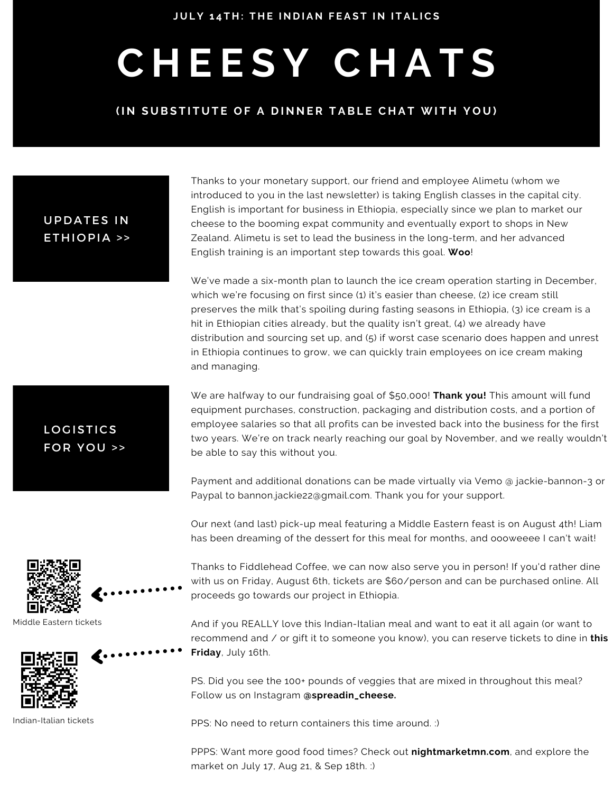# **C H E E S Y C H A T S**

#### (IN SUBSTITUTE OF A DINNER TABLE CHAT WITH YOU)

### **UPDATES IN** ETHIOPIA >>

Thanks to your monetary support, our friend and employee Alimetu (whom we introduced to you in the last newsletter) is taking English classes in the capital city. English is important for business in Ethiopia, especially since we plan to market our cheese to the booming expat community and eventually export to shops in New Zealand. Alimetu is set to lead the business in the long-term, and her advanced English training is an important step towards this goal. **Woo**!

We've made a six-month plan to launch the ice cream operation starting in December, which we're focusing on first since (1) it's easier than cheese, (2) ice cream still preserves the milk that's spoiling during fasting seasons in Ethiopia, (3) ice cream is a hit in Ethiopian cities already, but the quality isn't great, (4) we already have distribution and sourcing set up, and (5) if worst case scenario does happen and unrest in Ethiopia continues to grow, we can quickly train employees on ice cream making and managing.

We are halfway to our fundraising goal of \$50,000! **Thank you!** This amount will fund equipment purchases, construction, packaging and distribution costs, and a portion of employee salaries so that all profits can be invested back into the business for the first two years. We're on track nearly reaching our goal by November, and we really wouldn't be able to say this without you.

Payment and additional donations can be made virtually via Vemo @ jackie-bannon-3 or Paypal to bannon.jackie22@gmail.com. Thank you for your support.

Our next (and last) pick-up meal featuring a Middle Eastern feast is on August 4th! Liam has been dreaming of the dessert for this meal for months, and oooweeee I can't wait!

Thanks to Fiddlehead Coffee, we can now also serve you in person! If you'd rather dine with us on Friday, August 6th, tickets are \$60/person and can be purchased online. All proceeds go towards our project in Ethiopia.

And if you REALLY love this Indian-Italian meal and want to eat it all again (or want to recommend and / or gift it to someone you know), you can reserve tickets to dine in **this Friday**, July 16th.

PS. Did you see the 100+ pounds of veggies that are mixed in throughout this meal? Follow us on Instagram **@spreadin\_cheese.**

PPS: No need to return containers this time around. :)

PPPS: Want more good food times? Check out **nightmarketmn.com**, and explore the market on July 17, Aug 21, & Sep 18th. :)





Middle Eastern tickets



Indian-Italian tickets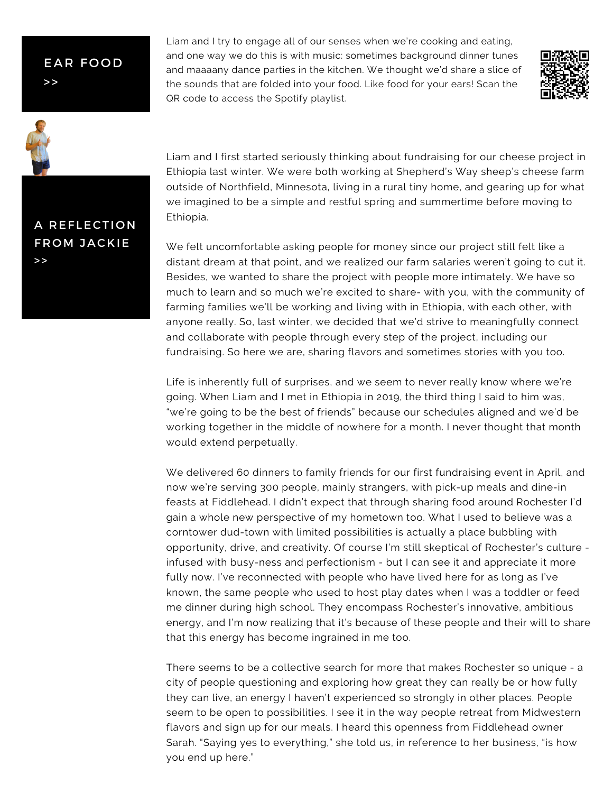## EAR FOOD

Liam and I try to engage all of our senses when we're cooking and eating, and one way we do this is with music: sometimes background dinner tunes and maaaany dance parties in the kitchen. We thought we'd share a slice of the sounds that are folded into your food. Like food for your ears! Scan the QR code to access the Spotify playlist.





 $>$ 

### A REFLECTION **FROM JACKIE**  $>$

Liam and I first started seriously thinking about fundraising for our cheese project in Ethiopia last winter. We were both working at Shepherd's Way sheep's cheese farm outside of Northfield, Minnesota, living in a rural tiny home, and gearing up for what we imagined to be a simple and restful spring and summertime before moving to Ethiopia.

We felt uncomfortable asking people for money since our project still felt like a distant dream at that point, and we realized our farm salaries weren't going to cut it. Besides, we wanted to share the project with people more intimately. We have so much to learn and so much we're excited to share- with you, with the community of farming families we'll be working and living with in Ethiopia, with each other, with anyone really. So, last winter, we decided that we'd strive to meaningfully connect and collaborate with people through every step of the project, including our fundraising. So here we are, sharing flavors and sometimes stories with you too.

Life is inherently full of surprises, and we seem to never really know where we're going. When Liam and I met in Ethiopia in 2019, the third thing I said to him was, "we're going to be the best of friends" because our schedules aligned and we'd be working together in the middle of nowhere for a month. I never thought that month would extend perpetually.

We delivered 60 dinners to family friends for our first fundraising event in April, and now we're serving 300 people, mainly strangers, with pick-up meals and dine-in feasts at Fiddlehead. I didn't expect that through sharing food around Rochester I'd gain a whole new perspective of my hometown too. What I used to believe was a corntower dud-town with limited possibilities is actually a place bubbling with opportunity, drive, and creativity. Of course I'm still skeptical of Rochester's culture infused with busy-ness and perfectionism - but I can see it and appreciate it more fully now. I've reconnected with people who have lived here for as long as I've known, the same people who used to host play dates when I was a toddler or feed me dinner during high school. They encompass Rochester's innovative, ambitious energy, and I'm now realizing that it's because of these people and their will to share that this energy has become ingrained in me too.

There seems to be a collective search for more that makes Rochester so unique - a city of people questioning and exploring how great they can really be or how fully they can live, an energy I haven't experienced so strongly in other places. People seem to be open to possibilities. I see it in the way people retreat from Midwestern flavors and sign up for our meals. I heard this openness from Fiddlehead owner Sarah. "Saying yes to everything," she told us, in reference to her business, "is how you end up here."